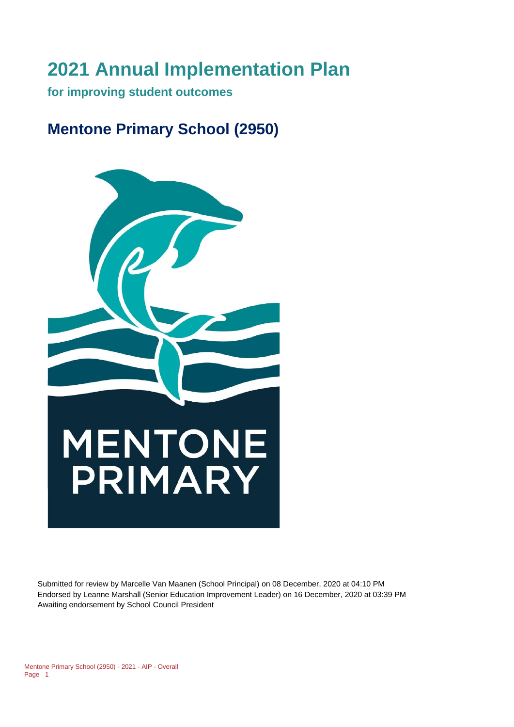# **2021 Annual Implementation Plan**

**for improving student outcomes** 

# **Mentone Primary School (2950)**



Submitted for review by Marcelle Van Maanen (School Principal) on 08 December, 2020 at 04:10 PM Endorsed by Leanne Marshall (Senior Education Improvement Leader) on 16 December, 2020 at 03:39 PM Awaiting endorsement by School Council President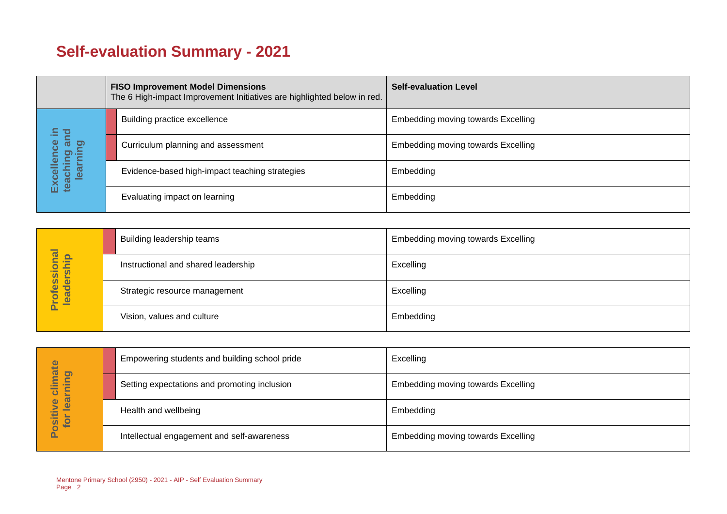# **Self-evaluation Summary - 2021**

|  |                                       | <b>FISO Improvement Model Dimensions</b><br>The 6 High-impact Improvement Initiatives are highlighted below in red. | <b>Self-evaluation Level</b>              |
|--|---------------------------------------|---------------------------------------------------------------------------------------------------------------------|-------------------------------------------|
|  | 음.                                    | Building practice excellence                                                                                        | <b>Embedding moving towards Excelling</b> |
|  | and                                   | Curriculum planning and assessment                                                                                  | <b>Embedding moving towards Excelling</b> |
|  | Excellence<br>teaching an<br>learning | Evidence-based high-impact teaching strategies                                                                      | Embedding                                 |
|  |                                       | Evaluating impact on learning                                                                                       | Embedding                                 |

|                            | Building leadership teams           | <b>Embedding moving towards Excelling</b> |
|----------------------------|-------------------------------------|-------------------------------------------|
|                            | Instructional and shared leadership | Excelling                                 |
| Professional<br>leadership | Strategic resource management       | Excelling                                 |
|                            | Vision, values and culture          | Embedding                                 |

| hate                                    | Empowering students and building school pride | Excelling                                 |
|-----------------------------------------|-----------------------------------------------|-------------------------------------------|
| D)<br>$\equiv$<br>▬<br>∕≡<br>늘<br>-     | Setting expectations and promoting inclusion  | <b>Embedding moving towards Excelling</b> |
| lear<br>$\mathbf 0$<br>⋗<br>siti<br>tor | Health and wellbeing                          | Embedding                                 |
| ŭ                                       | Intellectual engagement and self-awareness    | Embedding moving towards Excelling        |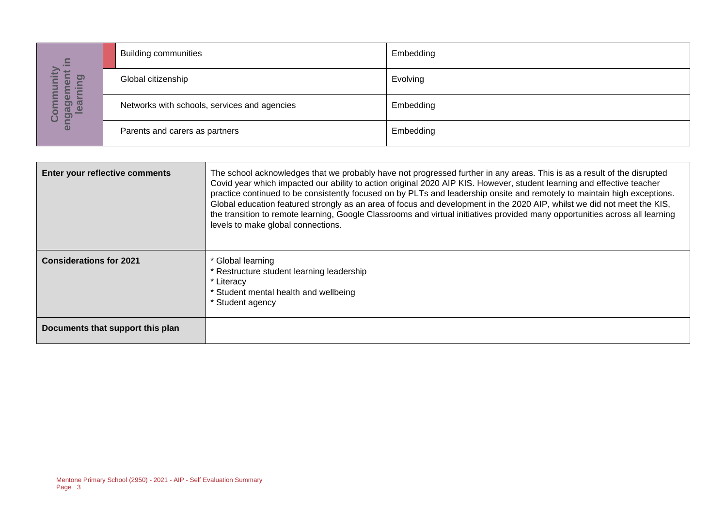| $\equiv$                                      | <b>Building communities</b>                  | Embedding |
|-----------------------------------------------|----------------------------------------------|-----------|
| $\mathbf{E}$<br>÷<br><u>ත</u><br>Φ<br>Ē       | Global citizenship                           | Evolving  |
| <u>შ</u><br><u>ia al</u><br>Deal<br><u> ၁</u> | Networks with schools, services and agencies | Embedding |
| eng                                           | Parents and carers as partners               | Embedding |

| $\equiv$                                                                       |                                              |                                                                                                                                                                                                                                                                                                                                                                                                                                                                                                                                                                                                                                                                                |           |  |
|--------------------------------------------------------------------------------|----------------------------------------------|--------------------------------------------------------------------------------------------------------------------------------------------------------------------------------------------------------------------------------------------------------------------------------------------------------------------------------------------------------------------------------------------------------------------------------------------------------------------------------------------------------------------------------------------------------------------------------------------------------------------------------------------------------------------------------|-----------|--|
|                                                                                | Global citizenship                           |                                                                                                                                                                                                                                                                                                                                                                                                                                                                                                                                                                                                                                                                                | Evolving  |  |
| Community<br>engagement i<br>learning                                          | Networks with schools, services and agencies |                                                                                                                                                                                                                                                                                                                                                                                                                                                                                                                                                                                                                                                                                | Embedding |  |
|                                                                                | Parents and carers as partners               |                                                                                                                                                                                                                                                                                                                                                                                                                                                                                                                                                                                                                                                                                | Embedding |  |
|                                                                                |                                              |                                                                                                                                                                                                                                                                                                                                                                                                                                                                                                                                                                                                                                                                                |           |  |
|                                                                                | Enter your reflective comments               | The school acknowledges that we probably have not progressed further in any areas. This is as a result of the disrupted<br>Covid year which impacted our ability to action original 2020 AIP KIS. However, student learning and effective teacher<br>practice continued to be consistently focused on by PLTs and leadership onsite and remotely to maintain high exceptions.<br>Global education featured strongly as an area of focus and development in the 2020 AIP, whilst we did not meet the KIS,<br>the transition to remote learning, Google Classrooms and virtual initiatives provided many opportunities across all learning<br>levels to make global connections. |           |  |
| <b>Considerations for 2021</b>                                                 |                                              | * Global learning<br>* Restructure student learning leadership<br>* Literacy<br>* Student mental health and wellbeing<br>* Student agency                                                                                                                                                                                                                                                                                                                                                                                                                                                                                                                                      |           |  |
|                                                                                | Documents that support this plan             |                                                                                                                                                                                                                                                                                                                                                                                                                                                                                                                                                                                                                                                                                |           |  |
|                                                                                |                                              |                                                                                                                                                                                                                                                                                                                                                                                                                                                                                                                                                                                                                                                                                |           |  |
| Mentone Primary School (2950) - 2021 - AIP - Self Evaluation Summary<br>Page 3 |                                              |                                                                                                                                                                                                                                                                                                                                                                                                                                                                                                                                                                                                                                                                                |           |  |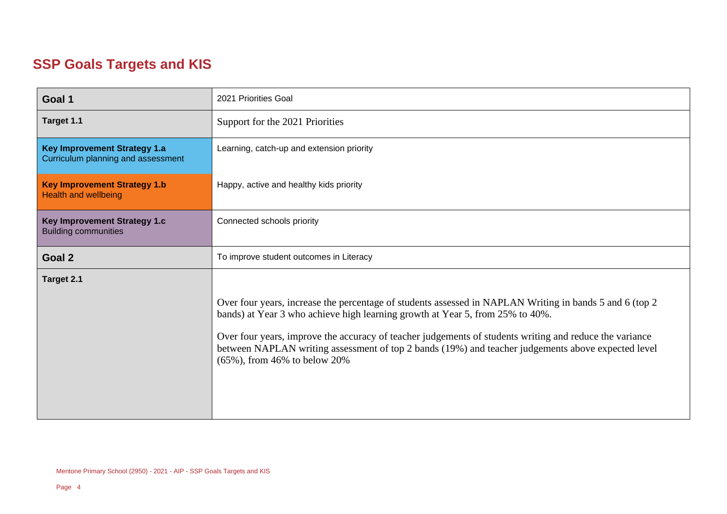## **SSP Goals Targets and KIS**

| Goal 1                                                                    | 2021 Priorities Goal                                                                                                                                                                                                                                                                                                                                                                                                                          |  |
|---------------------------------------------------------------------------|-----------------------------------------------------------------------------------------------------------------------------------------------------------------------------------------------------------------------------------------------------------------------------------------------------------------------------------------------------------------------------------------------------------------------------------------------|--|
| Target 1.1                                                                | Support for the 2021 Priorities                                                                                                                                                                                                                                                                                                                                                                                                               |  |
| <b>Key Improvement Strategy 1.a</b><br>Curriculum planning and assessment | Learning, catch-up and extension priority                                                                                                                                                                                                                                                                                                                                                                                                     |  |
| <b>Key Improvement Strategy 1.b</b><br><b>Health and wellbeing</b>        | Happy, active and healthy kids priority                                                                                                                                                                                                                                                                                                                                                                                                       |  |
| Key Improvement Strategy 1.c<br><b>Building communities</b>               | Connected schools priority                                                                                                                                                                                                                                                                                                                                                                                                                    |  |
| Goal 2                                                                    | To improve student outcomes in Literacy                                                                                                                                                                                                                                                                                                                                                                                                       |  |
| Target 2.1                                                                | Over four years, increase the percentage of students assessed in NAPLAN Writing in bands 5 and 6 (top 2<br>bands) at Year 3 who achieve high learning growth at Year 5, from 25% to 40%.<br>Over four years, improve the accuracy of teacher judgements of students writing and reduce the variance<br>between NAPLAN writing assessment of top 2 bands (19%) and teacher judgements above expected level<br>$(65\%)$ , from 46% to below 20% |  |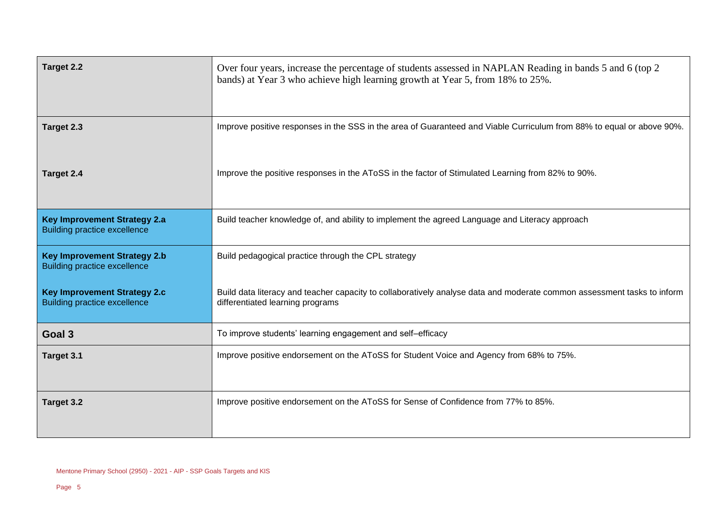| Target 2.2                                                                 | Over four years, increase the percentage of students assessed in NAPLAN Reading in bands 5 and 6 (top 2)<br>bands) at Year 3 who achieve high learning growth at Year 5, from 18% to 25%. |  |
|----------------------------------------------------------------------------|-------------------------------------------------------------------------------------------------------------------------------------------------------------------------------------------|--|
| Target 2.3                                                                 | Improve positive responses in the SSS in the area of Guaranteed and Viable Curriculum from 88% to equal or above 90%.                                                                     |  |
| Target 2.4                                                                 | Improve the positive responses in the AToSS in the factor of Stimulated Learning from 82% to 90%.                                                                                         |  |
| <b>Key Improvement Strategy 2.a</b><br><b>Building practice excellence</b> | Build teacher knowledge of, and ability to implement the agreed Language and Literacy approach                                                                                            |  |
| <b>Key Improvement Strategy 2.b</b><br><b>Building practice excellence</b> | Build pedagogical practice through the CPL strategy                                                                                                                                       |  |
| <b>Key Improvement Strategy 2.c</b><br><b>Building practice excellence</b> | Build data literacy and teacher capacity to collaboratively analyse data and moderate common assessment tasks to inform<br>differentiated learning programs                               |  |
| Goal 3                                                                     | To improve students' learning engagement and self-efficacy                                                                                                                                |  |
| Target 3.1                                                                 | Improve positive endorsement on the AToSS for Student Voice and Agency from 68% to 75%.                                                                                                   |  |
| Target 3.2                                                                 | Improve positive endorsement on the AToSS for Sense of Confidence from 77% to 85%.                                                                                                        |  |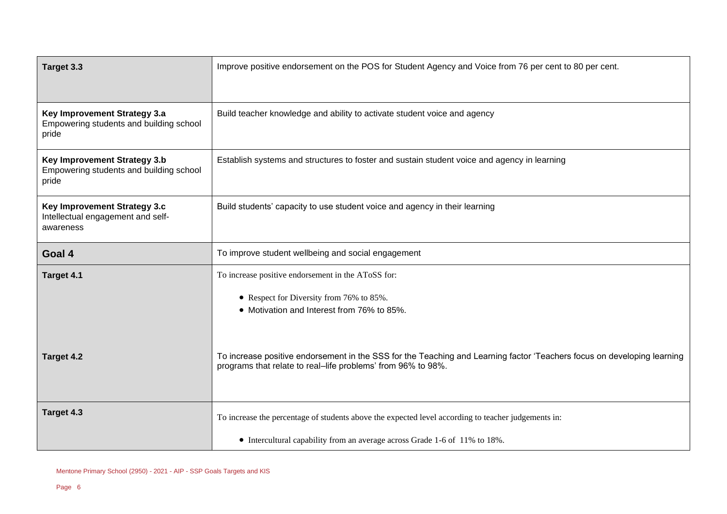| Target 3.3                                                                       | Improve positive endorsement on the POS for Student Agency and Voice from 76 per cent to 80 per cent.                                                                                   |  |
|----------------------------------------------------------------------------------|-----------------------------------------------------------------------------------------------------------------------------------------------------------------------------------------|--|
| Key Improvement Strategy 3.a<br>Empowering students and building school<br>pride | Build teacher knowledge and ability to activate student voice and agency                                                                                                                |  |
| Key Improvement Strategy 3.b<br>Empowering students and building school<br>pride | Establish systems and structures to foster and sustain student voice and agency in learning                                                                                             |  |
| Key Improvement Strategy 3.c<br>Intellectual engagement and self-<br>awareness   | Build students' capacity to use student voice and agency in their learning                                                                                                              |  |
| Goal 4                                                                           | To improve student wellbeing and social engagement                                                                                                                                      |  |
| Target 4.1                                                                       | To increase positive endorsement in the AToSS for:<br>• Respect for Diversity from 76% to 85%.<br>• Motivation and Interest from 76% to 85%.                                            |  |
| Target 4.2                                                                       | To increase positive endorsement in the SSS for the Teaching and Learning factor 'Teachers focus on developing learning<br>programs that relate to real-life problems' from 96% to 98%. |  |
| Target 4.3                                                                       | To increase the percentage of students above the expected level according to teacher judgements in:                                                                                     |  |
|                                                                                  | • Intercultural capability from an average across Grade 1-6 of 11% to 18%.                                                                                                              |  |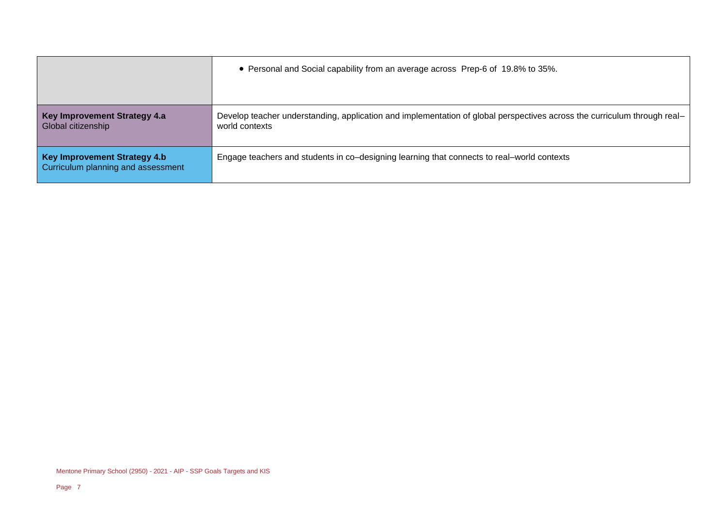|                                                                    | • Personal and Social capability from an average across Prep-6 of 19.8% to 35%.                                                            |
|--------------------------------------------------------------------|--------------------------------------------------------------------------------------------------------------------------------------------|
| Key Improvement Strategy 4.a<br>Global citizenship                 | Develop teacher understanding, application and implementation of global perspectives across the curriculum through real-<br>world contexts |
| Key Improvement Strategy 4.b<br>Curriculum planning and assessment | Engage teachers and students in co-designing learning that connects to real-world contexts                                                 |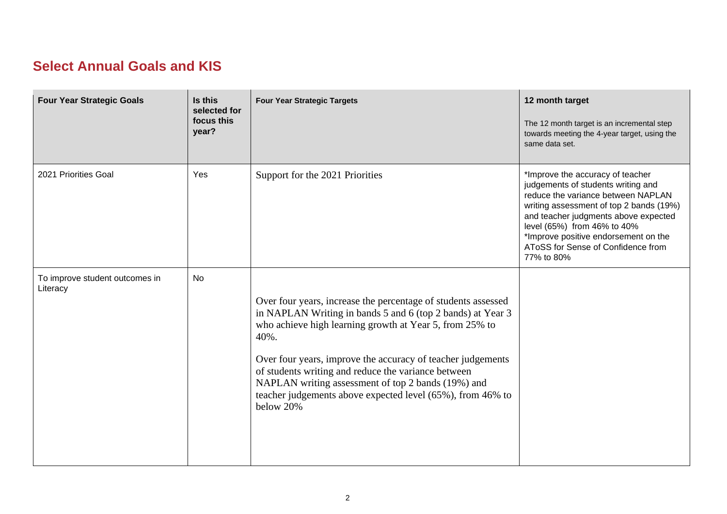#### **Select Annual Goals and KIS**

| <b>Four Year Strategic Goals</b>           | Is this<br>selected for<br>focus this<br>year? | <b>Four Year Strategic Targets</b>                                                                                                                                                                                                                                                                                                                                                                                                                    | 12 month target<br>The 12 month target is an incremental step<br>towards meeting the 4-year target, using the<br>same data set.                                                                                                                                                                                            |
|--------------------------------------------|------------------------------------------------|-------------------------------------------------------------------------------------------------------------------------------------------------------------------------------------------------------------------------------------------------------------------------------------------------------------------------------------------------------------------------------------------------------------------------------------------------------|----------------------------------------------------------------------------------------------------------------------------------------------------------------------------------------------------------------------------------------------------------------------------------------------------------------------------|
| 2021 Priorities Goal                       | Yes                                            | Support for the 2021 Priorities                                                                                                                                                                                                                                                                                                                                                                                                                       | *Improve the accuracy of teacher<br>judgements of students writing and<br>reduce the variance between NAPLAN<br>writing assessment of top 2 bands (19%)<br>and teacher judgments above expected<br>level (65%) from 46% to 40%<br>*Improve positive endorsement on the<br>AToSS for Sense of Confidence from<br>77% to 80% |
| To improve student outcomes in<br>Literacy | No                                             | Over four years, increase the percentage of students assessed<br>in NAPLAN Writing in bands 5 and 6 (top 2 bands) at Year 3<br>who achieve high learning growth at Year 5, from 25% to<br>40%.<br>Over four years, improve the accuracy of teacher judgements<br>of students writing and reduce the variance between<br>NAPLAN writing assessment of top 2 bands (19%) and<br>teacher judgements above expected level (65%), from 46% to<br>below 20% |                                                                                                                                                                                                                                                                                                                            |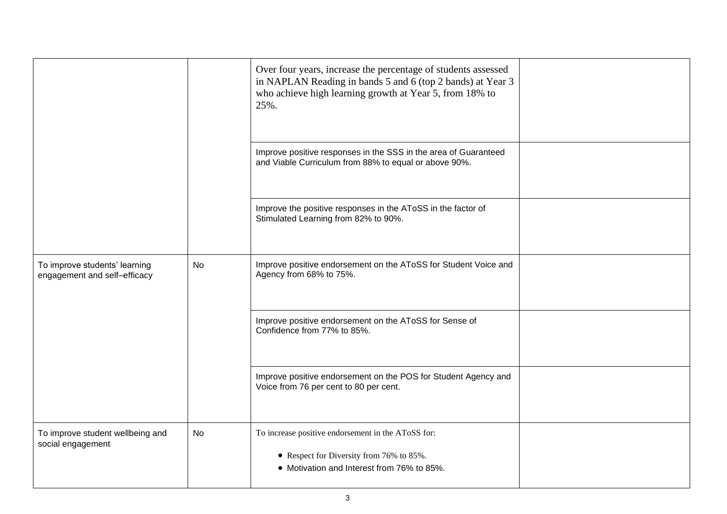|                                                               |    | Over four years, increase the percentage of students assessed<br>in NAPLAN Reading in bands 5 and 6 (top 2 bands) at Year 3<br>who achieve high learning growth at Year 5, from 18% to<br>25%. |  |
|---------------------------------------------------------------|----|------------------------------------------------------------------------------------------------------------------------------------------------------------------------------------------------|--|
|                                                               |    | Improve positive responses in the SSS in the area of Guaranteed<br>and Viable Curriculum from 88% to equal or above 90%.                                                                       |  |
|                                                               |    | Improve the positive responses in the AToSS in the factor of<br>Stimulated Learning from 82% to 90%.                                                                                           |  |
| To improve students' learning<br>engagement and self-efficacy | No | Improve positive endorsement on the AToSS for Student Voice and<br>Agency from 68% to 75%.                                                                                                     |  |
|                                                               |    | Improve positive endorsement on the AToSS for Sense of<br>Confidence from 77% to 85%.                                                                                                          |  |
|                                                               |    | Improve positive endorsement on the POS for Student Agency and<br>Voice from 76 per cent to 80 per cent.                                                                                       |  |
| To improve student wellbeing and<br>social engagement         | No | To increase positive endorsement in the AToSS for:<br>• Respect for Diversity from 76% to 85%.<br>• Motivation and Interest from 76% to 85%.                                                   |  |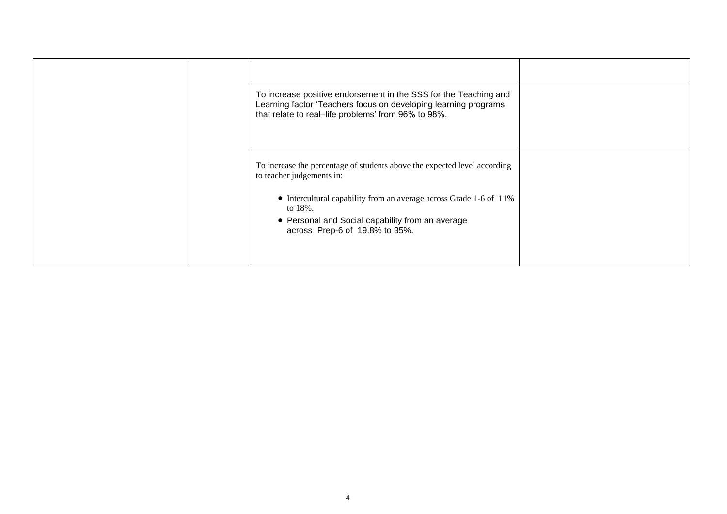| To increase positive endorsement in the SSS for the Teaching and<br>Learning factor 'Teachers focus on developing learning programs<br>that relate to real-life problems' from 96% to 98%. |  |
|--------------------------------------------------------------------------------------------------------------------------------------------------------------------------------------------|--|
| To increase the percentage of students above the expected level according<br>to teacher judgements in:                                                                                     |  |
| • Intercultural capability from an average across Grade 1-6 of 11%<br>to 18%.<br>• Personal and Social capability from an average                                                          |  |
| across Prep-6 of 19.8% to 35%.                                                                                                                                                             |  |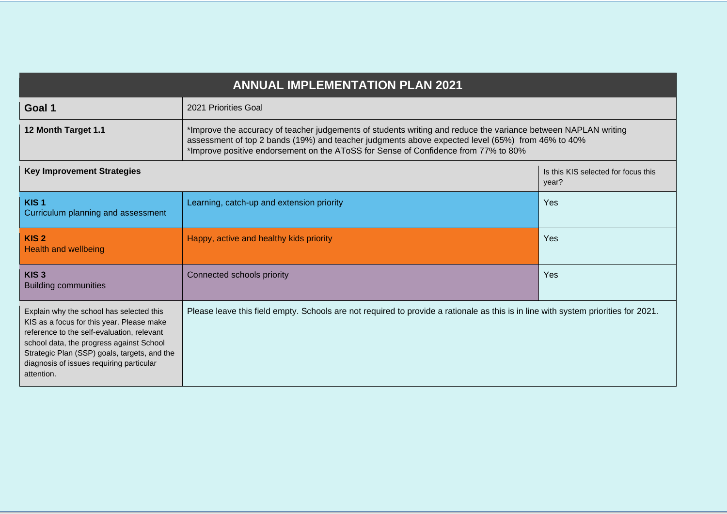|                                                                                                                                                                                                                                                                                           | <b>ANNUAL IMPLEMENTATION PLAN 2021</b>                                                                                             |                                                                                                                                                                                                                    |  |  |  |  |
|-------------------------------------------------------------------------------------------------------------------------------------------------------------------------------------------------------------------------------------------------------------------------------------------|------------------------------------------------------------------------------------------------------------------------------------|--------------------------------------------------------------------------------------------------------------------------------------------------------------------------------------------------------------------|--|--|--|--|
| Goal 1                                                                                                                                                                                                                                                                                    | 2021 Priorities Goal                                                                                                               |                                                                                                                                                                                                                    |  |  |  |  |
| 12 Month Target 1.1                                                                                                                                                                                                                                                                       | *Improve positive endorsement on the AToSS for Sense of Confidence from 77% to 80%                                                 | *Improve the accuracy of teacher judgements of students writing and reduce the variance between NAPLAN writing<br>assessment of top 2 bands (19%) and teacher judgments above expected level (65%) from 46% to 40% |  |  |  |  |
| <b>Key Improvement Strategies</b>                                                                                                                                                                                                                                                         |                                                                                                                                    | Is this KIS selected for focus this<br>year?                                                                                                                                                                       |  |  |  |  |
| KIS <sub>1</sub><br>Curriculum planning and assessment                                                                                                                                                                                                                                    | Learning, catch-up and extension priority                                                                                          | Yes                                                                                                                                                                                                                |  |  |  |  |
| KIS <sub>2</sub><br><b>Health and wellbeing</b>                                                                                                                                                                                                                                           | Happy, active and healthy kids priority                                                                                            | Yes                                                                                                                                                                                                                |  |  |  |  |
| KIS <sub>3</sub><br><b>Building communities</b>                                                                                                                                                                                                                                           | Connected schools priority                                                                                                         | Yes                                                                                                                                                                                                                |  |  |  |  |
| Explain why the school has selected this<br>KIS as a focus for this year. Please make<br>reference to the self-evaluation, relevant<br>school data, the progress against School<br>Strategic Plan (SSP) goals, targets, and the<br>diagnosis of issues requiring particular<br>attention. | Please leave this field empty. Schools are not required to provide a rationale as this is in line with system priorities for 2021. |                                                                                                                                                                                                                    |  |  |  |  |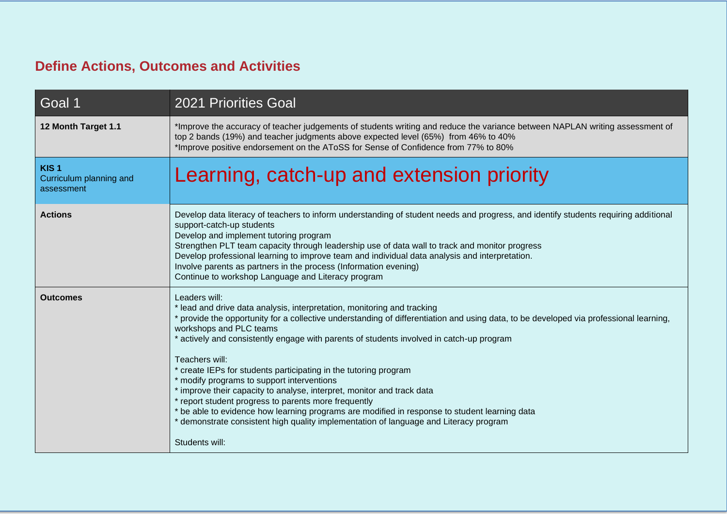## **Define Actions, Outcomes and Activities**

| Goal 1                                                    | <b>2021 Priorities Goal</b>                                                                                                                                                                                                                                                                                                                                                                                                                                                                                                                                                                                                                                                                                                                                                                                                                 |
|-----------------------------------------------------------|---------------------------------------------------------------------------------------------------------------------------------------------------------------------------------------------------------------------------------------------------------------------------------------------------------------------------------------------------------------------------------------------------------------------------------------------------------------------------------------------------------------------------------------------------------------------------------------------------------------------------------------------------------------------------------------------------------------------------------------------------------------------------------------------------------------------------------------------|
| 12 Month Target 1.1                                       | *Improve the accuracy of teacher judgements of students writing and reduce the variance between NAPLAN writing assessment of<br>top 2 bands (19%) and teacher judgments above expected level (65%) from 46% to 40%<br>*Improve positive endorsement on the AToSS for Sense of Confidence from 77% to 80%                                                                                                                                                                                                                                                                                                                                                                                                                                                                                                                                    |
| KIS <sub>1</sub><br>Curriculum planning and<br>assessment | Learning, catch-up and extension priority                                                                                                                                                                                                                                                                                                                                                                                                                                                                                                                                                                                                                                                                                                                                                                                                   |
| <b>Actions</b>                                            | Develop data literacy of teachers to inform understanding of student needs and progress, and identify students requiring additional<br>support-catch-up students<br>Develop and implement tutoring program<br>Strengthen PLT team capacity through leadership use of data wall to track and monitor progress<br>Develop professional learning to improve team and individual data analysis and interpretation.<br>Involve parents as partners in the process (Information evening)<br>Continue to workshop Language and Literacy program                                                                                                                                                                                                                                                                                                    |
| <b>Outcomes</b>                                           | Leaders will:<br>* lead and drive data analysis, interpretation, monitoring and tracking<br>* provide the opportunity for a collective understanding of differentiation and using data, to be developed via professional learning,<br>workshops and PLC teams<br>* actively and consistently engage with parents of students involved in catch-up program<br>Teachers will:<br>* create IEPs for students participating in the tutoring program<br>* modify programs to support interventions<br>* improve their capacity to analyse, interpret, monitor and track data<br>* report student progress to parents more frequently<br>* be able to evidence how learning programs are modified in response to student learning data<br>* demonstrate consistent high quality implementation of language and Literacy program<br>Students will: |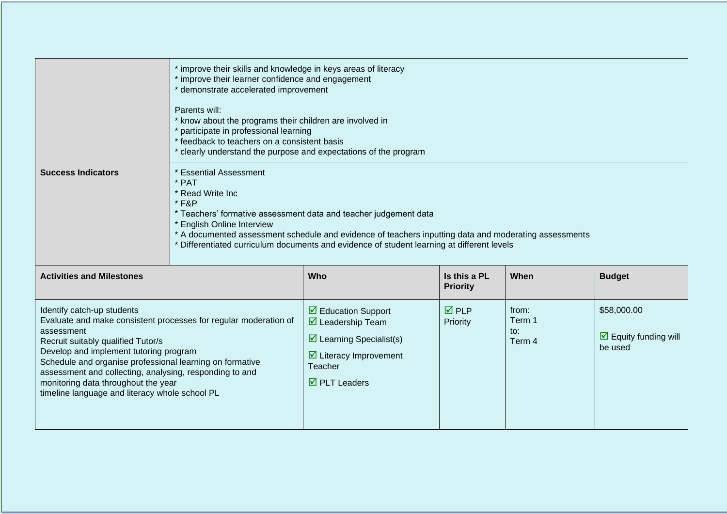|                                                                                                                                                                                                                                                                                                                                          | * improve their skills and knowledge in keys areas of literacy<br>* improve their learner confidence and engagement<br>* demonstrate accelerated improvement<br>Parents will:<br>* know about the programs their children are involved in<br>* participate in professional learning<br>* feedback to teachers on a consistent basis<br>* clearly understand the purpose and expectations of the program |                                                                                                                                                                                 |                                 |                                  |                                                                |  |
|------------------------------------------------------------------------------------------------------------------------------------------------------------------------------------------------------------------------------------------------------------------------------------------------------------------------------------------|---------------------------------------------------------------------------------------------------------------------------------------------------------------------------------------------------------------------------------------------------------------------------------------------------------------------------------------------------------------------------------------------------------|---------------------------------------------------------------------------------------------------------------------------------------------------------------------------------|---------------------------------|----------------------------------|----------------------------------------------------------------|--|
| <b>Success Indicators</b>                                                                                                                                                                                                                                                                                                                | * Essential Assessment<br>* PAT<br>* Read Write Inc<br>$*$ F&P<br>* Teachers' formative assessment data and teacher judgement data<br>* English Online Interview<br>* A documented assessment schedule and evidence of teachers inputting data and moderating assessments<br>Differentiated curriculum documents and evidence of student learning at different levels                                   |                                                                                                                                                                                 |                                 |                                  |                                                                |  |
| <b>Activities and Milestones</b>                                                                                                                                                                                                                                                                                                         |                                                                                                                                                                                                                                                                                                                                                                                                         | Who                                                                                                                                                                             | Is this a PL<br><b>Priority</b> | When                             | <b>Budget</b>                                                  |  |
| Identify catch-up students<br>assessment<br>Recruit suitably qualified Tutor/s<br>Develop and implement tutoring program<br>Schedule and organise professional learning on formative<br>assessment and collecting, analysing, responding to and<br>monitoring data throughout the year<br>timeline language and literacy whole school PL | Evaluate and make consistent processes for regular moderation of                                                                                                                                                                                                                                                                                                                                        | $\boxtimes$ Education Support<br>$\boxtimes$ Leadership Team<br>$\triangleright$ Learning Specialist(s)<br>$\boxdot$ Literacy Improvement<br>Teacher<br>$\boxtimes$ PLT Leaders | $\overline{M}$ PLP<br>Priority  | from:<br>Term 1<br>to:<br>Term 4 | \$58,000.00<br>$\triangleright$ Equity funding will<br>be used |  |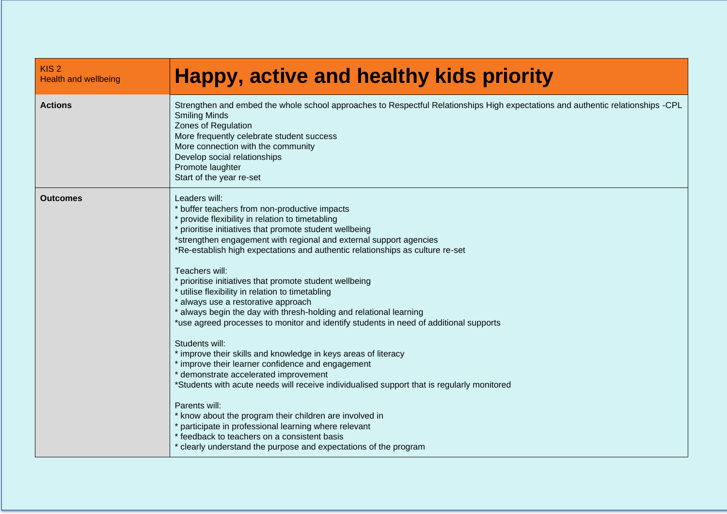| KIS <sub>2</sub><br><b>Health and wellbeing</b> | <b>Happy, active and healthy kids priority</b>                                                                                                                                                                                                                                                                                                                                                                                                                                                                                                                                                                                                                                                                                                                                                                                                                                                                                                                                                                                                                                                                                                                                                                       |
|-------------------------------------------------|----------------------------------------------------------------------------------------------------------------------------------------------------------------------------------------------------------------------------------------------------------------------------------------------------------------------------------------------------------------------------------------------------------------------------------------------------------------------------------------------------------------------------------------------------------------------------------------------------------------------------------------------------------------------------------------------------------------------------------------------------------------------------------------------------------------------------------------------------------------------------------------------------------------------------------------------------------------------------------------------------------------------------------------------------------------------------------------------------------------------------------------------------------------------------------------------------------------------|
| <b>Actions</b>                                  | Strengthen and embed the whole school approaches to Respectful Relationships High expectations and authentic relationships -CPL<br><b>Smiling Minds</b><br>Zones of Regulation<br>More frequently celebrate student success<br>More connection with the community<br>Develop social relationships<br>Promote laughter<br>Start of the year re-set                                                                                                                                                                                                                                                                                                                                                                                                                                                                                                                                                                                                                                                                                                                                                                                                                                                                    |
| <b>Outcomes</b>                                 | Leaders will:<br>* buffer teachers from non-productive impacts<br>* provide flexibility in relation to timetabling<br>* prioritise initiatives that promote student wellbeing<br>*strengthen engagement with regional and external support agencies<br>*Re-establish high expectations and authentic relationships as culture re-set<br>Teachers will:<br>* prioritise initiatives that promote student wellbeing<br>* utilise flexibility in relation to timetabling<br>* always use a restorative approach<br>* always begin the day with thresh-holding and relational learning<br>*use agreed processes to monitor and identify students in need of additional supports<br>Students will:<br>* improve their skills and knowledge in keys areas of literacy<br>* improve their learner confidence and engagement<br>* demonstrate accelerated improvement<br>*Students with acute needs will receive individualised support that is regularly monitored<br>Parents will:<br>* know about the program their children are involved in<br>* participate in professional learning where relevant<br>* feedback to teachers on a consistent basis<br>* clearly understand the purpose and expectations of the program |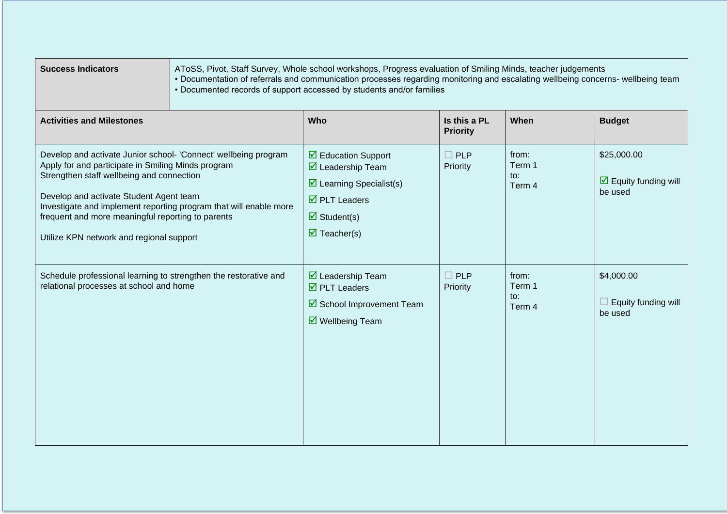| <b>Success Indicators</b>                                                                                                                                                                                                                                                                                                                                                           | AToSS, Pivot, Staff Survey, Whole school workshops, Progress evaluation of Smiling Minds, teacher judgements<br>• Documentation of referrals and communication processes regarding monitoring and escalating wellbeing concerns- wellbeing team<br>• Documented records of support accessed by students and/or families |                                                                                                                                                                                                                        |                                 |                                  |                                                               |  |  |
|-------------------------------------------------------------------------------------------------------------------------------------------------------------------------------------------------------------------------------------------------------------------------------------------------------------------------------------------------------------------------------------|-------------------------------------------------------------------------------------------------------------------------------------------------------------------------------------------------------------------------------------------------------------------------------------------------------------------------|------------------------------------------------------------------------------------------------------------------------------------------------------------------------------------------------------------------------|---------------------------------|----------------------------------|---------------------------------------------------------------|--|--|
| <b>Activities and Milestones</b>                                                                                                                                                                                                                                                                                                                                                    |                                                                                                                                                                                                                                                                                                                         | Who                                                                                                                                                                                                                    | Is this a PL<br><b>Priority</b> | When                             | <b>Budget</b>                                                 |  |  |
| Develop and activate Junior school- 'Connect' wellbeing program<br>Apply for and participate in Smiling Minds program<br>Strengthen staff wellbeing and connection<br>Develop and activate Student Agent team<br>Investigate and implement reporting program that will enable more<br>frequent and more meaningful reporting to parents<br>Utilize KPN network and regional support |                                                                                                                                                                                                                                                                                                                         | $\triangledown$ Education Support<br>$\boxtimes$ Leadership Team<br>$\triangleright$ Learning Specialist(s)<br>$\overline{\mathbf{2}}$ PLT Leaders<br>$\overline{\mathbf{z}}$ Student(s)<br>$\triangledown$ Teacher(s) | $\square$ PLP<br>Priority       | from:<br>Term 1<br>to:<br>Term 4 | \$25,000.00<br>$\triangledown$ Equity funding will<br>be used |  |  |
| Schedule professional learning to strengthen the restorative and<br>relational processes at school and home                                                                                                                                                                                                                                                                         |                                                                                                                                                                                                                                                                                                                         | $\boxtimes$ Leadership Team<br>$\overline{\mathbf{2}}$ PLT Leaders<br>School Improvement Team<br>$\triangledown$ Wellbeing Team                                                                                        | $\Box$ PLP<br>Priority          | from:<br>Term 1<br>to:<br>Term 4 | \$4,000.00<br>Equity funding will<br>be used                  |  |  |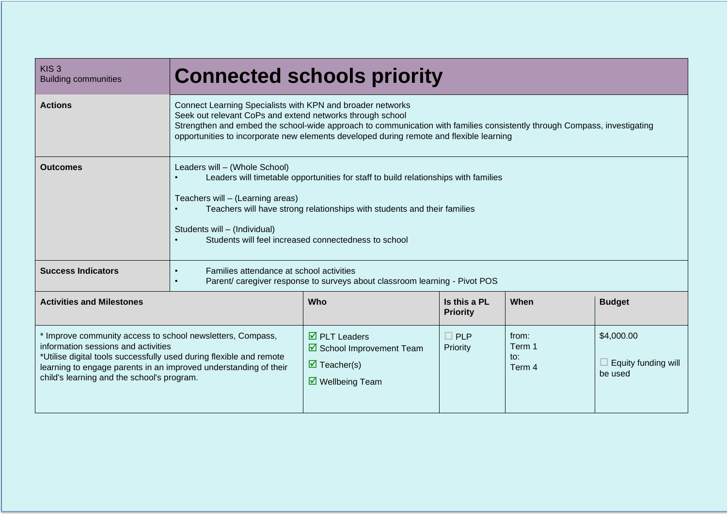| KIS <sub>3</sub><br><b>Building communities</b>                                                                                                                                                                                                                                            | <b>Connected schools priority</b>                                                                                                                                                                                                                                                                                                              |                                                                                                                           |                                 |                                  |                                              |  |  |
|--------------------------------------------------------------------------------------------------------------------------------------------------------------------------------------------------------------------------------------------------------------------------------------------|------------------------------------------------------------------------------------------------------------------------------------------------------------------------------------------------------------------------------------------------------------------------------------------------------------------------------------------------|---------------------------------------------------------------------------------------------------------------------------|---------------------------------|----------------------------------|----------------------------------------------|--|--|
| <b>Actions</b>                                                                                                                                                                                                                                                                             | Connect Learning Specialists with KPN and broader networks<br>Seek out relevant CoPs and extend networks through school<br>Strengthen and embed the school-wide approach to communication with families consistently through Compass, investigating<br>opportunities to incorporate new elements developed during remote and flexible learning |                                                                                                                           |                                 |                                  |                                              |  |  |
| <b>Outcomes</b>                                                                                                                                                                                                                                                                            | Leaders will - (Whole School)<br>Leaders will timetable opportunities for staff to build relationships with families<br>Teachers will - (Learning areas)<br>Teachers will have strong relationships with students and their families<br>Students will - (Individual)<br>Students will feel increased connectedness to school                   |                                                                                                                           |                                 |                                  |                                              |  |  |
| <b>Success Indicators</b>                                                                                                                                                                                                                                                                  | Families attendance at school activities<br>Parent/ caregiver response to surveys about classroom learning - Pivot POS                                                                                                                                                                                                                         |                                                                                                                           |                                 |                                  |                                              |  |  |
| <b>Activities and Milestones</b>                                                                                                                                                                                                                                                           |                                                                                                                                                                                                                                                                                                                                                | Who                                                                                                                       | Is this a PL<br><b>Priority</b> | When                             | <b>Budget</b>                                |  |  |
| * Improve community access to school newsletters, Compass,<br>information sessions and activities<br>*Utilise digital tools successfully used during flexible and remote<br>learning to engage parents in an improved understanding of their<br>child's learning and the school's program. |                                                                                                                                                                                                                                                                                                                                                | $\overline{\boxtimes}$ PLT Leaders<br>School Improvement Team<br>$\triangledown$ Teacher(s)<br>$\boxtimes$ Wellbeing Team | $\square$ PLP<br>Priority       | from:<br>Term 1<br>to:<br>Term 4 | \$4,000.00<br>Equity funding will<br>be used |  |  |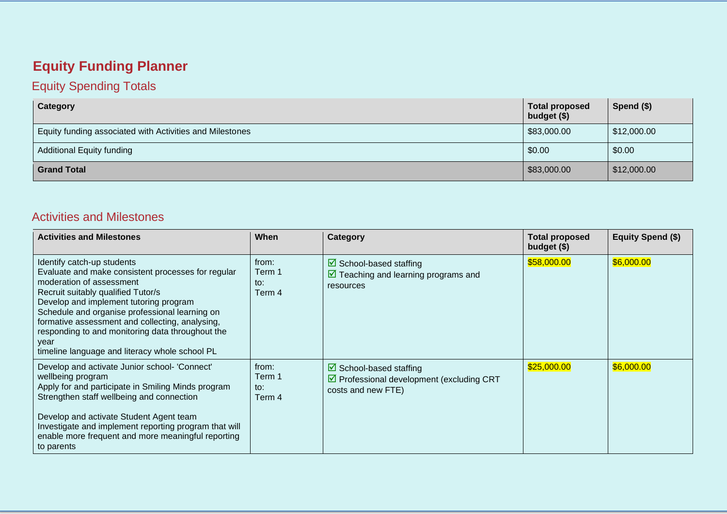# **Equity Funding Planner**

#### Equity Spending Totals

| Category                                                 | <b>Total proposed</b><br>budget (\$) | Spend (\$)  |
|----------------------------------------------------------|--------------------------------------|-------------|
| Equity funding associated with Activities and Milestones | \$83,000.00                          | \$12,000.00 |
| <b>Additional Equity funding</b>                         | \$0.00                               | \$0.00      |
| <b>Grand Total</b>                                       | 83,000.00                            | \$12,000.00 |

#### Activities and Milestones

| <b>Activities and Milestones</b>                                                                                                                                                                                                                                                                                                                                                                                | When                             | Category                                                                                                                | <b>Total proposed</b><br>budget (\$) | <b>Equity Spend (\$)</b> |
|-----------------------------------------------------------------------------------------------------------------------------------------------------------------------------------------------------------------------------------------------------------------------------------------------------------------------------------------------------------------------------------------------------------------|----------------------------------|-------------------------------------------------------------------------------------------------------------------------|--------------------------------------|--------------------------|
| Identify catch-up students<br>Evaluate and make consistent processes for regular<br>moderation of assessment<br>Recruit suitably qualified Tutor/s<br>Develop and implement tutoring program<br>Schedule and organise professional learning on<br>formative assessment and collecting, analysing,<br>responding to and monitoring data throughout the<br>year<br>timeline language and literacy whole school PL | from:<br>Term 1<br>to:<br>Term 4 | $\triangleright$ School-based staffing<br>$\triangledown$ Teaching and learning programs and<br>resources               | \$58,000.00                          | \$6,000.00               |
| Develop and activate Junior school- 'Connect'<br>wellbeing program<br>Apply for and participate in Smiling Minds program<br>Strengthen staff wellbeing and connection<br>Develop and activate Student Agent team<br>Investigate and implement reporting program that will<br>enable more frequent and more meaningful reporting<br>to parents                                                                   | from:<br>Term 1<br>to:<br>Term 4 | $\triangleright$ School-based staffing<br>$\triangledown$ Professional development (excluding CRT<br>costs and new FTE) | \$25,000.00                          | \$6,000.00               |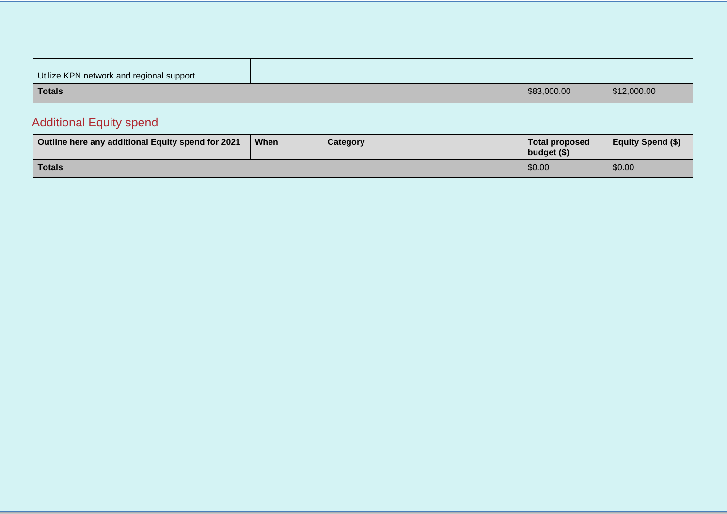| Utilize KPN network and regional support |  |             |             |
|------------------------------------------|--|-------------|-------------|
| <b>Totals</b>                            |  | \$83,000.00 | \$12,000.00 |

## Additional Equity spend

| Outline here any additional Equity spend for 2021 | When | Category | <b>Total proposed</b><br>budget (\$) | <b>Equity Spend (\$)</b> |
|---------------------------------------------------|------|----------|--------------------------------------|--------------------------|
| Totals                                            |      |          | \$0.00                               | \$0.00                   |